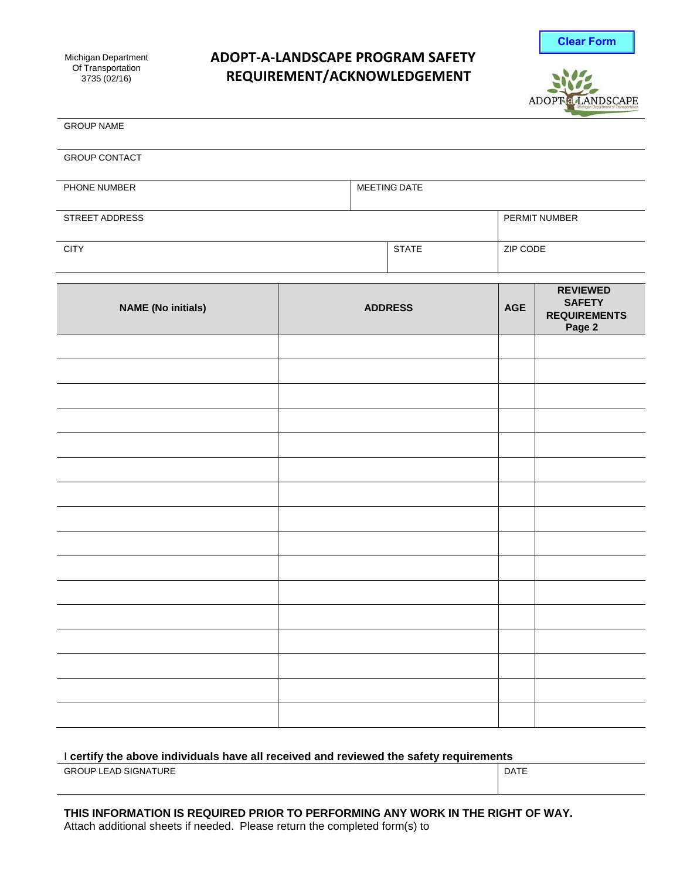# **ADOPT‐A‐LANDSCAPE PROGRAM SAFETY REQUIREMENT/ACKNOWLEDGEMENT**





| <b>GROUP NAME</b>         |                |              |            |                                                                   |
|---------------------------|----------------|--------------|------------|-------------------------------------------------------------------|
| <b>GROUP CONTACT</b>      |                |              |            |                                                                   |
| PHONE NUMBER              |                | MEETING DATE |            |                                                                   |
| STREET ADDRESS            |                |              |            | PERMIT NUMBER                                                     |
| <b>CITY</b>               | <b>STATE</b>   |              | ZIP CODE   |                                                                   |
| <b>NAME (No initials)</b> | <b>ADDRESS</b> |              | <b>AGE</b> | <b>REVIEWED</b><br><b>SAFETY</b><br><b>REQUIREMENTS</b><br>Page 2 |
|                           |                |              |            |                                                                   |
|                           |                |              |            |                                                                   |
|                           |                |              |            |                                                                   |
|                           |                |              |            |                                                                   |
|                           |                |              |            |                                                                   |
|                           |                |              |            |                                                                   |
|                           |                |              |            |                                                                   |
|                           |                |              |            |                                                                   |
|                           |                |              |            |                                                                   |
|                           |                |              |            |                                                                   |
|                           |                |              |            |                                                                   |
|                           |                |              |            |                                                                   |
|                           |                |              |            |                                                                   |
|                           |                |              |            |                                                                   |
|                           |                |              |            |                                                                   |
|                           |                |              |            |                                                                   |

### I **certify the above individuals have all received and reviewed the safety requirements**

GROUP LEAD SIGNATURE **DATE**